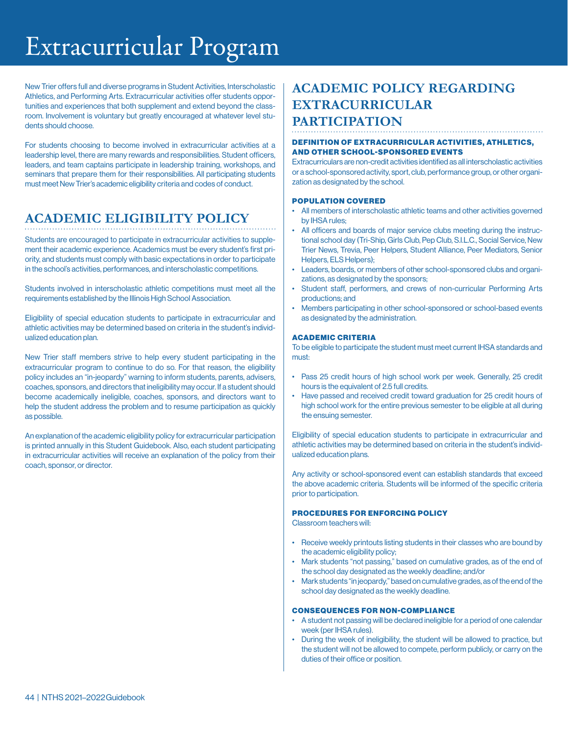## Extracurricular Program

New Trier offers full and diverse programs in Student Activities, Interscholastic Athletics, and Performing Arts. Extracurricular activities offer students opportunities and experiences that both supplement and extend beyond the classroom. Involvement is voluntary but greatly encouraged at whatever level students should choose.

For students choosing to become involved in extracurricular activities at a leadership level, there are many rewards and responsibilities. Student officers, leaders, and team captains participate in leadership training, workshops, and seminars that prepare them for their responsibilities. All participating students must meet New Trier's academic eligibility criteria and codes of conduct.

### **ACADEMIC ELIGIBILITY POLICY**

Students are encouraged to participate in extracurricular activities to supplement their academic experience. Academics must be every student's first priority, and students must comply with basic expectations in order to participate in the school's activities, performances, and interscholastic competitions.

Students involved in interscholastic athletic competitions must meet all the requirements established by the Illinois High School Association.

Eligibility of special education students to participate in extracurricular and athletic activities may be determined based on criteria in the student's individualized education plan.

New Trier staff members strive to help every student participating in the extracurricular program to continue to do so. For that reason, the eligibility policy includes an "in-jeopardy" warning to inform students, parents, advisers, coaches, sponsors, and directors that ineligibility may occur. If a student should become academically ineligible, coaches, sponsors, and directors want to help the student address the problem and to resume participation as quickly as possible.

An explanation of the academic eligibility policy for extracurricular participation is printed annually in this Student Guidebook. Also, each student participating in extracurricular activities will receive an explanation of the policy from their coach, sponsor, or director.

### **ACADEMIC POLICY REGARDING EXTRACURRICULAR PARTICIPATION**

#### DEFINITION OF EXTRACURRICULAR ACTIVITIES, ATHLETICS, AND OTHER SCHOOL-SPONSORED EVENTS

Extracurriculars are non-credit activities identified as all interscholastic activities or a school-sponsored activity, sport, club, performance group, or other organization as designated by the school.

#### POPULATION COVERED

- All members of interscholastic athletic teams and other activities governed by IHSA rules;
- All officers and boards of major service clubs meeting during the instructional school day (Tri-Ship, Girls Club, Pep Club, S.I.L.C., Social Service, New Trier News, Trevia, Peer Helpers, Student Alliance, Peer Mediators, Senior Helpers, ELS Helpers);
- Leaders, boards, or members of other school-sponsored clubs and organizations, as designated by the sponsors;
- Student staff, performers, and crews of non-curricular Performing Arts productions; and
- Members participating in other school-sponsored or school-based events as designated by the administration.

#### ACADEMIC CRITERIA

To be eligible to participate the student must meet current IHSA standards and must:

- Pass 25 credit hours of high school work per week. Generally, 25 credit hours is the equivalent of 2.5 full credits.
- Have passed and received credit toward graduation for 25 credit hours of high school work for the entire previous semester to be eligible at all during the ensuing semester.

Eligibility of special education students to participate in extracurricular and athletic activities may be determined based on criteria in the student's individualized education plans.

Any activity or school-sponsored event can establish standards that exceed the above academic criteria. Students will be informed of the specific criteria prior to participation.

#### PROCEDURES FOR ENFORCING POLICY

Classroom teachers will:

- Receive weekly printouts listing students in their classes who are bound by the academic eligibility policy;
- Mark students "not passing," based on cumulative grades, as of the end of the school day designated as the weekly deadline; and/or
- Mark students "in jeopardy," based on cumulative grades, as of the end of the school day designated as the weekly deadline.

#### CONSEQUENCES FOR NON-COMPLIANCE

- A student not passing will be declared ineligible for a period of one calendar week (per IHSA rules).
- During the week of ineligibility, the student will be allowed to practice, but the student will not be allowed to compete, perform publicly, or carry on the duties of their office or position.